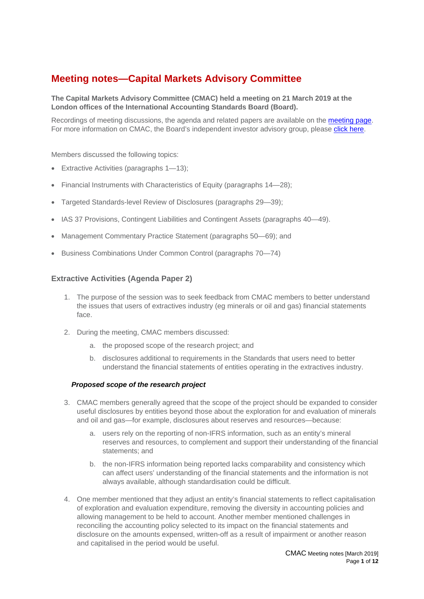# **Meeting notes—Capital Markets Advisory Committee**

#### **The Capital Markets Advisory Committee (CMAC) held a meeting on 21 March 2019 at the London offices of the International Accounting Standards Board (Board).**

Recordings of meeting discussions, the agenda and related papers are available on the [meeting page.](http://www.ifrs.org/news-and-events/calendar/) For more information on CMAC, the Board's independent investor advisory group, please [click here.](http://www.ifrs.org/groups/capital-markets-advisory-committee/)

Members discussed the following topics:

- Extractive Activities (paragraphs 1—13);
- Financial Instruments with Characteristics of Equity (paragraphs 14—28);
- Targeted Standards-level Review of Disclosures (paragraphs [29](#page-4-0)[—39\)](#page-6-0);
- IAS 37 Provisions, Contingent Liabilities and Contingent Assets (paragraphs [40—](#page-6-1)[49\)](#page-7-0).
- Management Commentary Practice Statement (paragraphs [50—](#page-7-1)[69\)](#page-10-0); and
- Business Combinations Under Common Control (paragraphs [70](#page-10-1)[—74\)](#page-11-0)

#### **Extractive Activities (Agenda Paper 2)**

- 1. The purpose of the session was to seek feedback from CMAC members to better understand the issues that users of extractives industry (eg minerals or oil and gas) financial statements face.
- 2. During the meeting, CMAC members discussed:
	- a. the proposed scope of the research project; and
	- b. disclosures additional to requirements in the Standards that users need to better understand the financial statements of entities operating in the extractives industry.

#### *Proposed scope of the research project*

- 3. CMAC members generally agreed that the scope of the project should be expanded to consider useful disclosures by entities beyond those about the exploration for and evaluation of minerals and oil and gas—for example, disclosures about reserves and resources—because:
	- a. users rely on the reporting of non-IFRS information, such as an entity's mineral reserves and resources, to complement and support their understanding of the financial statements; and
	- b. the non-IFRS information being reported lacks comparability and consistency which can affect users' understanding of the financial statements and the information is not always available, although standardisation could be difficult.
- 4. One member mentioned that they adjust an entity's financial statements to reflect capitalisation of exploration and evaluation expenditure, removing the diversity in accounting policies and allowing management to be held to account. Another member mentioned challenges in reconciling the accounting policy selected to its impact on the financial statements and disclosure on the amounts expensed, written-off as a result of impairment or another reason and capitalised in the period would be useful.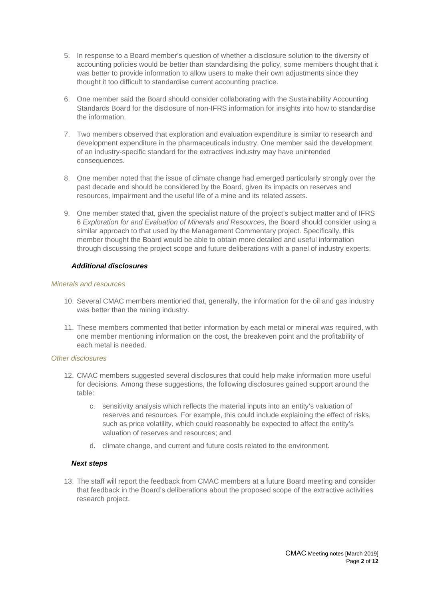- 5. In response to a Board member's question of whether a disclosure solution to the diversity of accounting policies would be better than standardising the policy, some members thought that it was better to provide information to allow users to make their own adjustments since they thought it too difficult to standardise current accounting practice.
- 6. One member said the Board should consider collaborating with the Sustainability Accounting Standards Board for the disclosure of non-IFRS information for insights into how to standardise the information.
- 7. Two members observed that exploration and evaluation expenditure is similar to research and development expenditure in the pharmaceuticals industry. One member said the development of an industry-specific standard for the extractives industry may have unintended consequences.
- 8. One member noted that the issue of climate change had emerged particularly strongly over the past decade and should be considered by the Board, given its impacts on reserves and resources, impairment and the useful life of a mine and its related assets.
- 9. One member stated that, given the specialist nature of the project's subject matter and of IFRS 6 *Exploration for and Evaluation of Minerals and Resources*, the Board should consider using a similar approach to that used by the Management Commentary project. Specifically, this member thought the Board would be able to obtain more detailed and useful information through discussing the project scope and future deliberations with a panel of industry experts.

#### *Additional disclosures*

#### *Minerals and resources*

- 10. Several CMAC members mentioned that, generally, the information for the oil and gas industry was better than the mining industry.
- 11. These members commented that better information by each metal or mineral was required, with one member mentioning information on the cost, the breakeven point and the profitability of each metal is needed.

#### *Other disclosures*

- 12. CMAC members suggested several disclosures that could help make information more useful for decisions. Among these suggestions, the following disclosures gained support around the table:
	- c. sensitivity analysis which reflects the material inputs into an entity's valuation of reserves and resources. For example, this could include explaining the effect of risks, such as price volatility, which could reasonably be expected to affect the entity's valuation of reserves and resources; and
	- d. climate change, and current and future costs related to the environment.

## *Next steps*

13. The staff will report the feedback from CMAC members at a future Board meeting and consider that feedback in the Board's deliberations about the proposed scope of the extractive activities research project.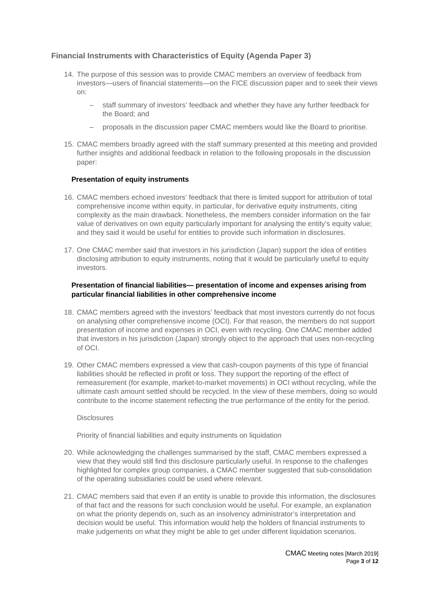## **Financial Instruments with Characteristics of Equity (Agenda Paper 3)**

- 14. The purpose of this session was to provide CMAC members an overview of feedback from investors—users of financial statements—on the FICE discussion paper and to seek their views on:
	- ‒ staff summary of investors' feedback and whether they have any further feedback for the Board; and
	- ‒ proposals in the discussion paper CMAC members would like the Board to prioritise.
- 15. CMAC members broadly agreed with the staff summary presented at this meeting and provided further insights and additional feedback in relation to the following proposals in the discussion paper:

#### **Presentation of equity instruments**

- 16. CMAC members echoed investors' feedback that there is limited support for attribution of total comprehensive income within equity, in particular, for derivative equity instruments, citing complexity as the main drawback. Nonetheless, the members consider information on the fair value of derivatives on own equity particularly important for analysing the entity's equity value; and they said it would be useful for entities to provide such information in disclosures.
- 17. One CMAC member said that investors in his jurisdiction (Japan) support the idea of entities disclosing attribution to equity instruments, noting that it would be particularly useful to equity investors.

#### **Presentation of financial liabilities— presentation of income and expenses arising from particular financial liabilities in other comprehensive income**

- 18. CMAC members agreed with the investors' feedback that most investors currently do not focus on analysing other comprehensive income (OCI). For that reason, the members do not support presentation of income and expenses in OCI, even with recycling. One CMAC member added that investors in his jurisdiction (Japan) strongly object to the approach that uses non-recycling of OCI.
- 19. Other CMAC members expressed a view that cash-coupon payments of this type of financial liabilities should be reflected in profit or loss. They support the reporting of the effect of remeasurement (for example, market-to-market movements) in OCI without recycling, while the ultimate cash amount settled should be recycled. In the view of these members, doing so would contribute to the income statement reflecting the true performance of the entity for the period.

#### **Disclosures**

Priority of financial liabilities and equity instruments on liquidation

- 20. While acknowledging the challenges summarised by the staff, CMAC members expressed a view that they would still find this disclosure particularly useful. In response to the challenges highlighted for complex group companies, a CMAC member suggested that sub-consolidation of the operating subsidiaries could be used where relevant.
- 21. CMAC members said that even if an entity is unable to provide this information, the disclosures of that fact and the reasons for such conclusion would be useful. For example, an explanation on what the priority depends on, such as an insolvency administrator's interpretation and decision would be useful. This information would help the holders of financial instruments to make judgements on what they might be able to get under different liquidation scenarios.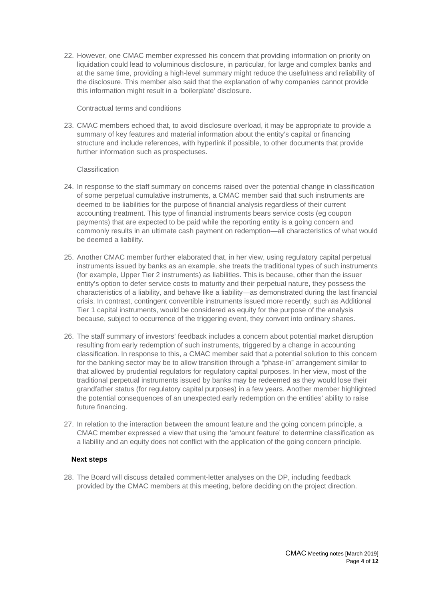22. However, one CMAC member expressed his concern that providing information on priority on liquidation could lead to voluminous disclosure, in particular, for large and complex banks and at the same time, providing a high-level summary might reduce the usefulness and reliability of the disclosure. This member also said that the explanation of why companies cannot provide this information might result in a 'boilerplate' disclosure.

#### Contractual terms and conditions

23. CMAC members echoed that, to avoid disclosure overload, it may be appropriate to provide a summary of key features and material information about the entity's capital or financing structure and include references, with hyperlink if possible, to other documents that provide further information such as prospectuses.

#### Classification

- 24. In response to the staff summary on concerns raised over the potential change in classification of some perpetual cumulative instruments, a CMAC member said that such instruments are deemed to be liabilities for the purpose of financial analysis regardless of their current accounting treatment. This type of financial instruments bears service costs (eg coupon payments) that are expected to be paid while the reporting entity is a going concern and commonly results in an ultimate cash payment on redemption—all characteristics of what would be deemed a liability.
- 25. Another CMAC member further elaborated that, in her view, using regulatory capital perpetual instruments issued by banks as an example, she treats the traditional types of such instruments (for example, Upper Tier 2 instruments) as liabilities. This is because, other than the issuer entity's option to defer service costs to maturity and their perpetual nature, they possess the characteristics of a liability, and behave like a liability—as demonstrated during the last financial crisis. In contrast, contingent convertible instruments issued more recently, such as Additional Tier 1 capital instruments, would be considered as equity for the purpose of the analysis because, subject to occurrence of the triggering event, they convert into ordinary shares.
- 26. The staff summary of investors' feedback includes a concern about potential market disruption resulting from early redemption of such instruments, triggered by a change in accounting classification. In response to this, a CMAC member said that a potential solution to this concern for the banking sector may be to allow transition through a "phase-in" arrangement similar to that allowed by prudential regulators for regulatory capital purposes. In her view, most of the traditional perpetual instruments issued by banks may be redeemed as they would lose their grandfather status (for regulatory capital purposes) in a few years. Another member highlighted the potential consequences of an unexpected early redemption on the entities' ability to raise future financing.
- 27. In relation to the interaction between the amount feature and the going concern principle, a CMAC member expressed a view that using the 'amount feature' to determine classification as a liability and an equity does not conflict with the application of the going concern principle.

#### **Next steps**

28. The Board will discuss detailed comment-letter analyses on the DP, including feedback provided by the CMAC members at this meeting, before deciding on the project direction.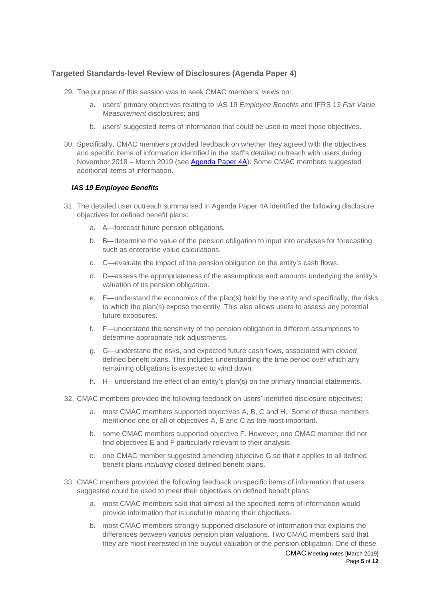## **Targeted Standards-level Review of Disclosures (Agenda Paper 4)**

- <span id="page-4-0"></span>29. The purpose of this session was to seek CMAC members' views on:
	- a. users' primary objectives relating to IAS 19 *Employee Benefits* and IFRS 13 *Fair Value Measurement* disclosures; and
	- b. users' suggested items of information that could be used to meet those objectives.
- 30. Specifically, CMAC members provided feedback on whether they agreed with the objectives and specific items of information identified in the staff's detailed outreach with users during November 2018 – March 2019 (see [Agenda Paper 4A\)](https://www.ifrs.org/-/media/feature/meetings/2019/march/cmac/ap4a-targeted-standards-level-review-of-disclosures-user-outreach-survey.pdf). Some CMAC members suggested additional items of information.

#### *IAS 19 Employee Benefits*

- 31. The detailed user outreach summarised in Agenda Paper 4A identified the following disclosure objectives for defined benefit plans:
	- a. A—forecast future pension obligations.
	- b. B—determine the value of the pension obligation to input into analyses for forecasting, such as enterprise value calculations.
	- c. C—evaluate the impact of the pension obligation on the entity's cash flows.
	- d. D—assess the appropriateness of the assumptions and amounts underlying the entity's valuation of its pension obligation.
	- e. E—understand the economics of the plan(s) held by the entity and specifically, the risks to which the plan(s) expose the entity. This also allows users to assess any potential future exposures.
	- f. F—understand the sensitivity of the pension obligation to different assumptions to determine appropriate risk adjustments.
	- g. G—understand the risks, and expected future cash flows, associated with *closed*  defined benefit plans. This includes understanding the time period over which any remaining obligations is expected to wind down.
	- h. H—understand the effect of an entity's plan(s) on the primary financial statements.
- 32. CMAC members provided the following feedback on users' identified disclosure objectives:
	- a. most CMAC members supported objectives A, B, C and H. Some of these members mentioned one or all of objectives A, B and C as the most important.
	- b. some CMAC members supported objective F. However, one CMAC member did not find objectives E and F particularly relevant to their analysis.
	- c. one CMAC member suggested amending objective G so that it applies to all defined benefit plans *including* closed defined benefit plans.
- 33. CMAC members provided the following feedback on specific items of information that users suggested could be used to meet their objectives on defined benefit plans:
	- a. most CMAC members said that almost all the specified items of information would provide information that is useful in meeting their objectives.
	- b. most CMAC members strongly supported disclosure of information that explains the differences between various pension plan valuations. Two CMAC members said that they are most interested in the buyout valuation of the pension obligation. One of these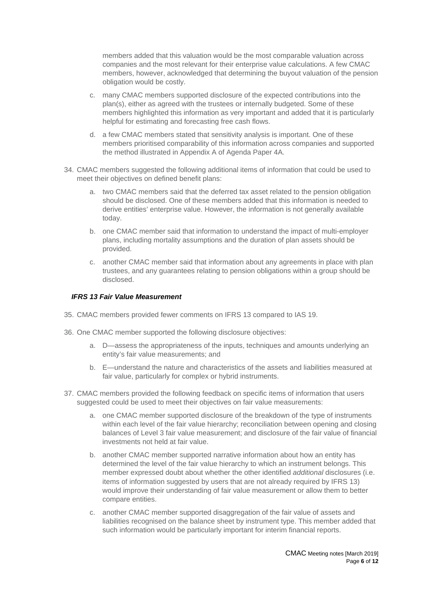members added that this valuation would be the most comparable valuation across companies and the most relevant for their enterprise value calculations. A few CMAC members, however, acknowledged that determining the buyout valuation of the pension obligation would be costly.

- c. many CMAC members supported disclosure of the expected contributions into the plan(s), either as agreed with the trustees or internally budgeted. Some of these members highlighted this information as very important and added that it is particularly helpful for estimating and forecasting free cash flows.
- d. a few CMAC members stated that sensitivity analysis is important. One of these members prioritised comparability of this information across companies and supported the method illustrated in Appendix A of Agenda Paper 4A.
- 34. CMAC members suggested the following additional items of information that could be used to meet their objectives on defined benefit plans:
	- a. two CMAC members said that the deferred tax asset related to the pension obligation should be disclosed. One of these members added that this information is needed to derive entities' enterprise value. However, the information is not generally available today.
	- b. one CMAC member said that information to understand the impact of multi-employer plans, including mortality assumptions and the duration of plan assets should be provided.
	- c. another CMAC member said that information about any agreements in place with plan trustees, and any guarantees relating to pension obligations within a group should be disclosed.

#### *IFRS 13 Fair Value Measurement*

- 35. CMAC members provided fewer comments on IFRS 13 compared to IAS 19.
- 36. One CMAC member supported the following disclosure objectives:
	- a. D—assess the appropriateness of the inputs, techniques and amounts underlying an entity's fair value measurements; and
	- b. E—understand the nature and characteristics of the assets and liabilities measured at fair value, particularly for complex or hybrid instruments.
- <span id="page-5-0"></span>37. CMAC members provided the following feedback on specific items of information that users suggested could be used to meet their objectives on fair value measurements:
	- a. one CMAC member supported disclosure of the breakdown of the type of instruments within each level of the fair value hierarchy; reconciliation between opening and closing balances of Level 3 fair value measurement; and disclosure of the fair value of financial investments not held at fair value.
	- b. another CMAC member supported narrative information about how an entity has determined the level of the fair value hierarchy to which an instrument belongs. This member expressed doubt about whether the other identified *additional* disclosures (i.e. items of information suggested by users that are not already required by IFRS 13) would improve their understanding of fair value measurement or allow them to better compare entities.
	- c. another CMAC member supported disaggregation of the fair value of assets and liabilities recognised on the balance sheet by instrument type. This member added that such information would be particularly important for interim financial reports.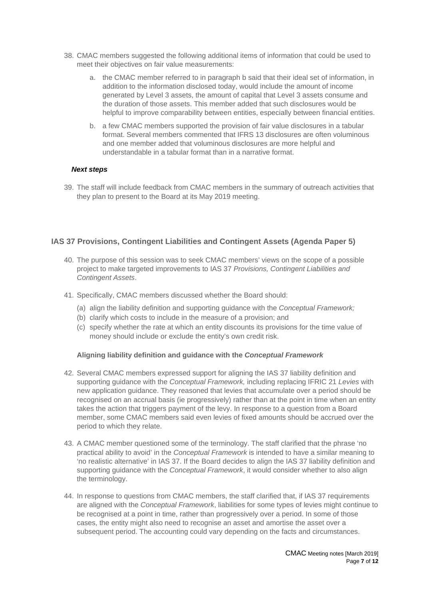- 38. CMAC members suggested the following additional items of information that could be used to meet their objectives on fair value measurements:
	- a. the CMAC member referred to in paragraph [b](#page-5-0) said that their ideal set of information, in addition to the information disclosed today, would include the amount of income generated by Level 3 assets, the amount of capital that Level 3 assets consume and the duration of those assets. This member added that such disclosures would be helpful to improve comparability between entities, especially between financial entities.
	- b. a few CMAC members supported the provision of fair value disclosures in a tabular format. Several members commented that IFRS 13 disclosures are often voluminous and one member added that voluminous disclosures are more helpful and understandable in a tabular format than in a narrative format.

#### *Next steps*

<span id="page-6-0"></span>39. The staff will include feedback from CMAC members in the summary of outreach activities that they plan to present to the Board at its May 2019 meeting.

## **IAS 37 Provisions, Contingent Liabilities and Contingent Assets (Agenda Paper 5)**

- <span id="page-6-1"></span>40. The purpose of this session was to seek CMAC members' views on the scope of a possible project to make targeted improvements to IAS 37 *Provisions, Contingent Liabilities and Contingent Assets*.
- 41. Specifically, CMAC members discussed whether the Board should:
	- (a) align the liability definition and supporting guidance with the *Conceptual Framework;*
	- (b) clarify which costs to include in the measure of a provision; and
	- (c) specify whether the rate at which an entity discounts its provisions for the time value of money should include or exclude the entity's own credit risk.

#### **Aligning liability definition and guidance with the** *Conceptual Framework*

- 42. Several CMAC members expressed support for aligning the IAS 37 liability definition and supporting guidance with the *Conceptual Framework,* including replacing IFRIC 21 *Levies* with new application guidance. They reasoned that levies that accumulate over a period should be recognised on an accrual basis (ie progressively) rather than at the point in time when an entity takes the action that triggers payment of the levy. In response to a question from a Board member, some CMAC members said even levies of fixed amounts should be accrued over the period to which they relate.
- 43. A CMAC member questioned some of the terminology. The staff clarified that the phrase 'no practical ability to avoid' in the *Conceptual Framework* is intended to have a similar meaning to 'no realistic alternative' in IAS 37. If the Board decides to align the IAS 37 liability definition and supporting guidance with the *Conceptual Framework*, it would consider whether to also align the terminology.
- 44. In response to questions from CMAC members, the staff clarified that, if IAS 37 requirements are aligned with the *Conceptual Framework*, liabilities for some types of levies might continue to be recognised at a point in time, rather than progressively over a period. In some of those cases, the entity might also need to recognise an asset and amortise the asset over a subsequent period. The accounting could vary depending on the facts and circumstances.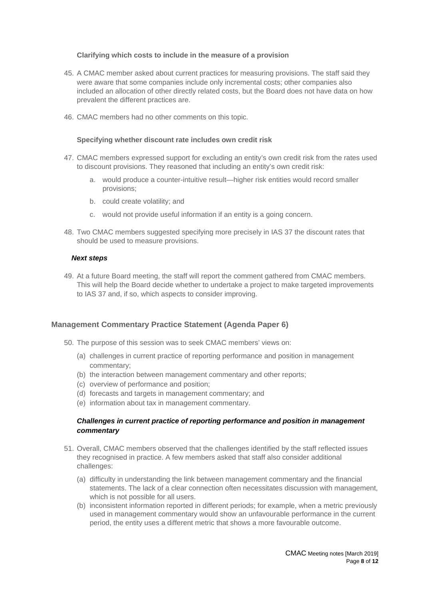#### **Clarifying which costs to include in the measure of a provision**

- 45. A CMAC member asked about current practices for measuring provisions. The staff said they were aware that some companies include only incremental costs; other companies also included an allocation of other directly related costs, but the Board does not have data on how prevalent the different practices are.
- 46. CMAC members had no other comments on this topic.

#### **Specifying whether discount rate includes own credit risk**

- 47. CMAC members expressed support for excluding an entity's own credit risk from the rates used to discount provisions. They reasoned that including an entity's own credit risk:
	- a. would produce a counter-intuitive result—higher risk entities would record smaller provisions;
	- b. could create volatility; and
	- c. would not provide useful information if an entity is a going concern.
- 48. Two CMAC members suggested specifying more precisely in IAS 37 the discount rates that should be used to measure provisions.

#### *Next steps*

<span id="page-7-0"></span>49. At a future Board meeting, the staff will report the comment gathered from CMAC members. This will help the Board decide whether to undertake a project to make targeted improvements to IAS 37 and, if so, which aspects to consider improving.

#### **Management Commentary Practice Statement (Agenda Paper 6)**

- <span id="page-7-1"></span>50. The purpose of this session was to seek CMAC members' views on:
	- (a) challenges in current practice of reporting performance and position in management commentary;
	- (b) the interaction between management commentary and other reports;
	- (c) overview of performance and position;
	- (d) forecasts and targets in management commentary; and
	- (e) information about tax in management commentary.

#### *Challenges in current practice of reporting performance and position in management commentary*

- 51. Overall, CMAC members observed that the challenges identified by the staff reflected issues they recognised in practice. A few members asked that staff also consider additional challenges:
	- (a) difficulty in understanding the link between management commentary and the financial statements. The lack of a clear connection often necessitates discussion with management, which is not possible for all users.
	- (b) inconsistent information reported in different periods; for example, when a metric previously used in management commentary would show an unfavourable performance in the current period, the entity uses a different metric that shows a more favourable outcome.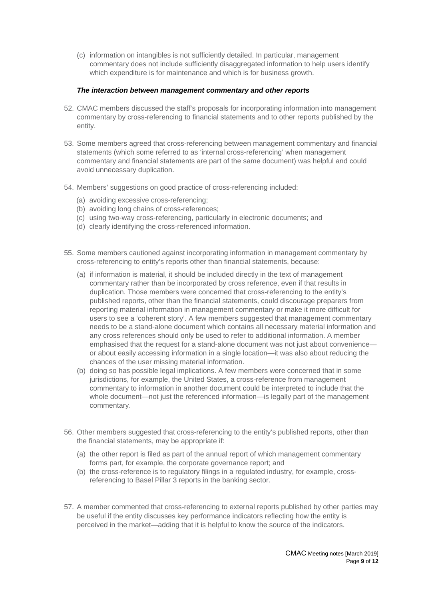(c) information on intangibles is not sufficiently detailed. In particular, management commentary does not include sufficiently disaggregated information to help users identify which expenditure is for maintenance and which is for business growth.

#### *The interaction between management commentary and other reports*

- 52. CMAC members discussed the staff's proposals for incorporating information into management commentary by cross-referencing to financial statements and to other reports published by the entity.
- 53. Some members agreed that cross-referencing between management commentary and financial statements (which some referred to as 'internal cross-referencing' when management commentary and financial statements are part of the same document) was helpful and could avoid unnecessary duplication.
- 54. Members' suggestions on good practice of cross-referencing included:
	- (a) avoiding excessive cross-referencing;
	- (b) avoiding long chains of cross-references;
	- (c) using two-way cross-referencing, particularly in electronic documents; and
	- (d) clearly identifying the cross-referenced information.
- 55. Some members cautioned against incorporating information in management commentary by cross-referencing to entity's reports other than financial statements, because:
	- (a) if information is material, it should be included directly in the text of management commentary rather than be incorporated by cross reference, even if that results in duplication. Those members were concerned that cross-referencing to the entity's published reports, other than the financial statements, could discourage preparers from reporting material information in management commentary or make it more difficult for users to see a 'coherent story'. A few members suggested that management commentary needs to be a stand-alone document which contains all necessary material information and any cross references should only be used to refer to additional information. A member emphasised that the request for a stand-alone document was not just about convenience or about easily accessing information in a single location—it was also about reducing the chances of the user missing material information.
	- (b) doing so has possible legal implications. A few members were concerned that in some jurisdictions, for example, the United States, a cross-reference from management commentary to information in another document could be interpreted to include that the whole document—not just the referenced information—is legally part of the management commentary.
- 56. Other members suggested that cross-referencing to the entity's published reports, other than the financial statements, may be appropriate if:
	- (a) the other report is filed as part of the annual report of which management commentary forms part, for example, the corporate governance report; and
	- (b) the cross-reference is to regulatory filings in a regulated industry, for example, crossreferencing to Basel Pillar 3 reports in the banking sector.
- 57. A member commented that cross-referencing to external reports published by other parties may be useful if the entity discusses key performance indicators reflecting how the entity is perceived in the market—adding that it is helpful to know the source of the indicators.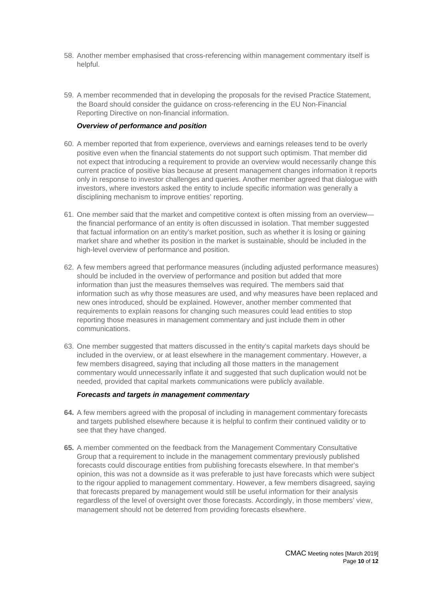- 58. Another member emphasised that cross-referencing within management commentary itself is helpful.
- 59. A member recommended that in developing the proposals for the revised Practice Statement, the Board should consider the guidance on cross-referencing in the EU Non-Financial Reporting Directive on non-financial information.

#### *Overview of performance and position*

- 60. A member reported that from experience, overviews and earnings releases tend to be overly positive even when the financial statements do not support such optimism. That member did not expect that introducing a requirement to provide an overview would necessarily change this current practice of positive bias because at present management changes information it reports only in response to investor challenges and queries. Another member agreed that dialogue with investors, where investors asked the entity to include specific information was generally a disciplining mechanism to improve entities' reporting.
- 61. One member said that the market and competitive context is often missing from an overview the financial performance of an entity is often discussed in isolation. That member suggested that factual information on an entity's market position, such as whether it is losing or gaining market share and whether its position in the market is sustainable, should be included in the high-level overview of performance and position.
- 62. A few members agreed that performance measures (including adjusted performance measures) should be included in the overview of performance and position but added that more information than just the measures themselves was required. The members said that information such as why those measures are used, and why measures have been replaced and new ones introduced, should be explained. However, another member commented that requirements to explain reasons for changing such measures could lead entities to stop reporting those measures in management commentary and just include them in other communications.
- 63. One member suggested that matters discussed in the entity's capital markets days should be included in the overview, or at least elsewhere in the management commentary. However, a few members disagreed, saying that including all those matters in the management commentary would unnecessarily inflate it and suggested that such duplication would not be needed, provided that capital markets communications were publicly available.

#### *Forecasts and targets in management commentary*

- **64.** A few members agreed with the proposal of including in management commentary forecasts and targets published elsewhere because it is helpful to confirm their continued validity or to see that they have changed.
- **65.** A member commented on the feedback from the Management Commentary Consultative Group that a requirement to include in the management commentary previously published forecasts could discourage entities from publishing forecasts elsewhere. In that member's opinion, this was not a downside as it was preferable to just have forecasts which were subject to the rigour applied to management commentary. However, a few members disagreed, saying that forecasts prepared by management would still be useful information for their analysis regardless of the level of oversight over those forecasts. Accordingly, in those members' view, management should not be deterred from providing forecasts elsewhere.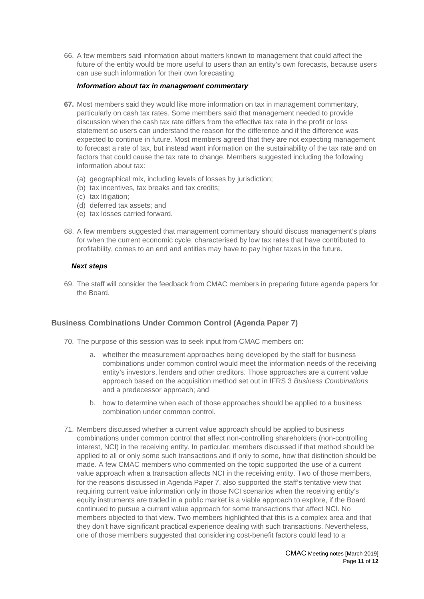66. A few members said information about matters known to management that could affect the future of the entity would be more useful to users than an entity's own forecasts, because users can use such information for their own forecasting.

#### *Information about tax in management commentary*

- **67.** Most members said they would like more information on tax in management commentary, particularly on cash tax rates. Some members said that management needed to provide discussion when the cash tax rate differs from the effective tax rate in the profit or loss statement so users can understand the reason for the difference and if the difference was expected to continue in future. Most members agreed that they are not expecting management to forecast a rate of tax, but instead want information on the sustainability of the tax rate and on factors that could cause the tax rate to change. Members suggested including the following information about tax:
	- (a) geographical mix, including levels of losses by jurisdiction;
	- (b) tax incentives, tax breaks and tax credits;
	- (c) tax litigation;
	- (d) deferred tax assets; and
	- (e) tax losses carried forward.
- 68. A few members suggested that management commentary should discuss management's plans for when the current economic cycle, characterised by low tax rates that have contributed to profitability, comes to an end and entities may have to pay higher taxes in the future.

#### *Next steps*

<span id="page-10-0"></span>69. The staff will consider the feedback from CMAC members in preparing future agenda papers for the Board.

#### **Business Combinations Under Common Control (Agenda Paper 7)**

- <span id="page-10-1"></span>70. The purpose of this session was to seek input from CMAC members on:
	- a. whether the measurement approaches being developed by the staff for business combinations under common control would meet the information needs of the receiving entity's investors, lenders and other creditors. Those approaches are a current value approach based on the acquisition method set out in IFRS 3 *Business Combinations* and a predecessor approach; and
	- b. how to determine when each of those approaches should be applied to a business combination under common control.
- 71. Members discussed whether a current value approach should be applied to business combinations under common control that affect non-controlling shareholders (non-controlling interest, NCI) in the receiving entity. In particular, members discussed if that method should be applied to all or only some such transactions and if only to some, how that distinction should be made. A few CMAC members who commented on the topic supported the use of a current value approach when a transaction affects NCI in the receiving entity. Two of those members, for the reasons discussed in Agenda Paper 7, also supported the staff's tentative view that requiring current value information only in those NCI scenarios when the receiving entity's equity instruments are traded in a public market is a viable approach to explore, if the Board continued to pursue a current value approach for some transactions that affect NCI. No members objected to that view. Two members highlighted that this is a complex area and that they don't have significant practical experience dealing with such transactions. Nevertheless, one of those members suggested that considering cost-benefit factors could lead to a